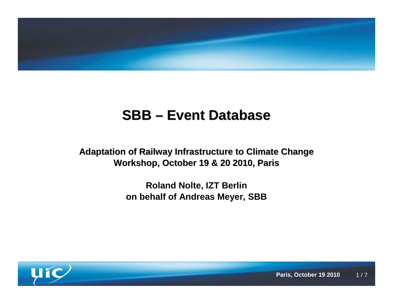

# **SBB – Event Database**

**Adaptation of Railway Infrastructure to Climate ChangeWorkshop, October 19 & 20 2010, Paris**

> **Roland Nolte, IZT Berlin on behalf of Andreas Meyer, SBB**

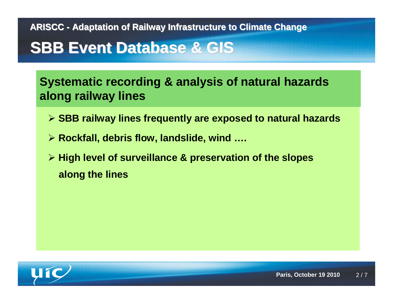### **SBB Event Database & GIS**

**Systematic recording & analysis of natural hazards along railway lines**

- **SBB railway lines frequently are exposed to natural hazards**
- **Rockfall, debris flow, landslide, wind ….**
- **High level of surveillance & preservation of the slopes along the lines**

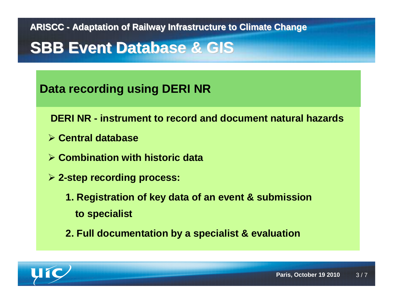### **SBB Event Database & GIS**

#### **Data recording using DERI NR**

**DERI NR - instrument to record and document natural hazards**

- **Central database**
- **Combination with historic data**
- **2-step recording process:**
	- **1. Registration of key data of an event & submission to specialist**
	- **2. Full documentation by a specialist & evaluation**

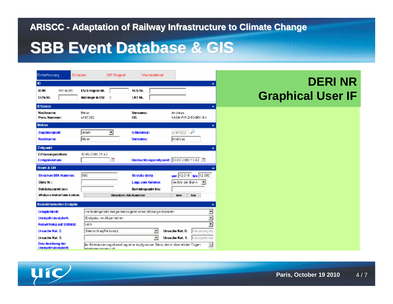### **SBB Event Database & GIS**

| Ersterfassung<br>Schaden                      | NR-Rapport                                                    | Massnahmen                                                                  |                                    |  |
|-----------------------------------------------|---------------------------------------------------------------|-----------------------------------------------------------------------------|------------------------------------|--|
| ID.                                           |                                                               |                                                                             |                                    |  |
| ID M:<br>NR-M285                              | ESI Ereignis Nr.                                              | KLS Nr.                                                                     |                                    |  |
| ErZu Nr.                                      | Anhänge in ESI<br>П                                           | LKT Nr.                                                                     |                                    |  |
| <b>Erfasser</b>                               |                                                               |                                                                             | A.                                 |  |
| Nachname:                                     | Meier                                                         | Vorname:                                                                    | Andreas                            |  |
| Pers. Nummer:                                 | u167202                                                       | OE:                                                                         | FASM-FW-Z-0D-BN-Bn                 |  |
| Melder                                        |                                                               |                                                                             | ۸                                  |  |
| Zugehörigkeit:                                | Intern<br>회                                                   | <b>U-Nummer:</b>                                                            | للو<br>u167202                     |  |
| Nachname:                                     | Meier                                                         | Vorname:                                                                    | lAndreas,                          |  |
| Zeitpunkt                                     |                                                               |                                                                             |                                    |  |
| <b>Erfassungsdatum:</b>                       | 30.09.2008 21:42                                              |                                                                             |                                    |  |
| Ereignisdatum:                                | $\overline{\mathbf{12}}$                                      | Beobachtungszeitpunkt: 30.09.2008 15:42 3                                   |                                    |  |
| Raum & Ort                                    |                                                               |                                                                             | ▲                                  |  |
| <b>Strecken DfA-Nummer:</b>                   | 800                                                           | Strecke (km):                                                               | von 12.010 bis 12.050              |  |
| Gleis Nr.:                                    |                                                               | Lage zum Geleise:                                                           | rechts der Bahn                    |  |
| Betriebspunkt von:                            |                                                               | Betriebspunkt bis:                                                          |                                    |  |
| Weitere betroffene Linien:                    |                                                               | Strecken UtA-Nummer                                                         | von<br>bis                         |  |
| <b>Basisinformation Ereignis</b>              |                                                               |                                                                             | ٠                                  |  |
| <b>Dringlichkeit:</b>                         | ◥<br>nicht dringendführegelmässigkeit ohne Stürungscharakter. |                                                                             |                                    |  |
| Unregelmässigkeit:                            | $\overline{\phantom{0}}$<br>Ereignis: im Allgemeinen          |                                                                             |                                    |  |
| <b>Auswirkung auf Betrieb:</b>                | kein                                                          | ₹                                                                           |                                    |  |
| Ursache Kat. 2:                               | Steinschlag/Felssturz                                         | Ursache Kat. 0:<br>Ŧ<br>Nature reionisl                                     |                                    |  |
| Ursache Kat. 3:                               |                                                               | ÷                                                                           | Naturg efa hrer<br>Ursache Kat. 1: |  |
| Beschreibung der<br><b>Unregelmässigkeit:</b> | ni adarda non don ist.                                        | Im Entwässerungskanal lag eine kopfgrosser Stein, der in den letzten Tagen. | A                                  |  |

#### **DERI NRGraphical User IF**

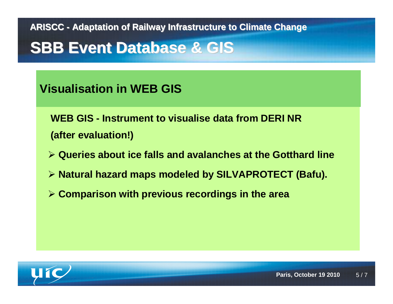## **SBB Event Database & GIS**

#### **Visualisation in WEB GIS**

**WEB GIS - Instrument to visualise data from DERI NR (after evaluation!)**

- **Queries about ice falls and avalanches at the Gotthard line**
- **Natural hazard maps modeled by SILVAPROTECT (Bafu).**
- **Comparison with previous recordings in the area**

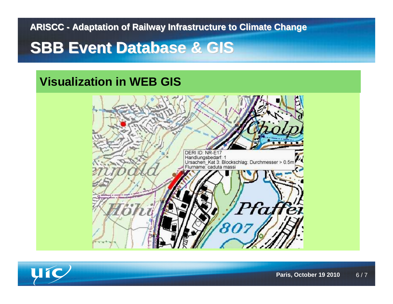### **SBB Event Database & GIS**

#### **Visualization in WEB GIS**